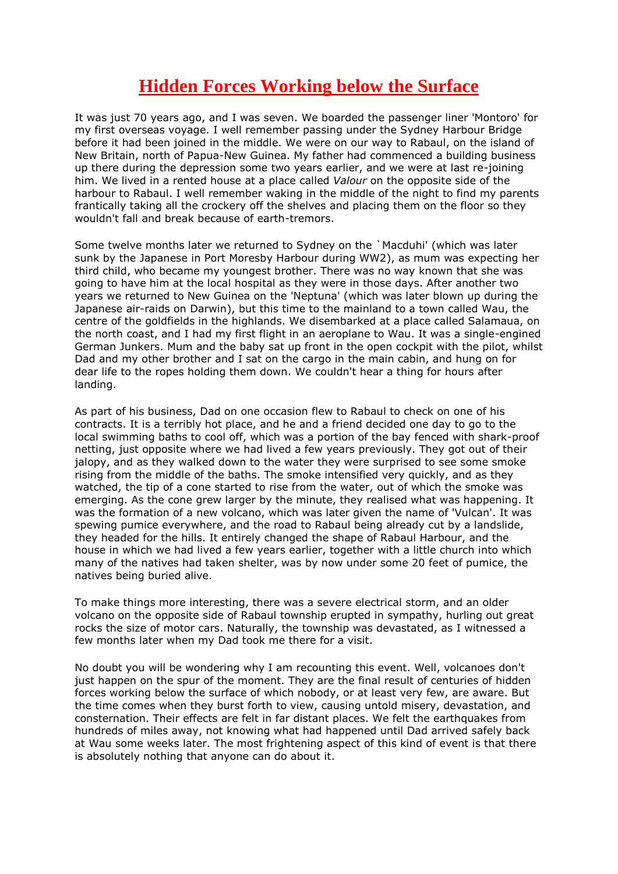## **Hidden Forces Working below the Surface**

It was just 70 years ago, and I was seven. We boarded the passenger liner 'Montoro' for my first overseas voyage. I well remember passing under the Sydney Harbour Bridge before it had been joined in the middle. We were on our way to Rabaul, on the island of New Britain, north of Papua-New Guinea. My father had commenced a building business up there during the depression some two years earlier, and we were at last re-joining him. We lived in a rented house at a place called *Valour* on the opposite side of the harbour to Rabaul. I well remember waking in the middle of the night to find my parents frantically taking all the crockery off the shelves and placing them on the floor so they wouldn't fall and break because of earth-tremors.

Some twelve months later we returned to Sydney on the `Macduhi' (which was later sunk by the Japanese in Port Moresby Harbour during WW2), as mum was expecting her third child, who became my youngest brother. There was no way known that she was going to have him at the local hospital as they were in those days. After another two years we returned to New Guinea on the 'Neptuna' (which was later blown up during the Japanese air-raids on Darwin), but this time to the mainland to a town called Wau, the centre of the goldfields in the highlands. We disembarked at a place called Salamaua, on the north coast, and I had my first flight in an aeroplane to Wau. It was a single-engined German Junkers. Mum and the baby sat up front in the open cockpit with the pilot, whilst Dad and my other brother and I sat on the cargo in the main cabin, and hung on for dear life to the ropes holding them down. We couldn't hear a thing for hours after landing.

As part of his business, Dad on one occasion flew to Rabaul to check on one of his contracts. It is a terribly hot place, and he and a friend decided one day to go to the local swimming baths to cool off, which was a portion of the bay fenced with shark-proof netting, just opposite where we had lived a few years previously. They got out of their jalopy, and as they walked down to the water they were surprised to see some smoke rising from the middle of the baths. The smoke intensified very quickly, and as they watched, the tip of a cone started to rise from the water, out of which the smoke was emerging. As the cone grew larger by the minute, they realised what was happening. It was the formation of a new volcano, which was later given the name of 'Vulcan'. It was spewing pumice everywhere, and the road to Rabaul being already cut by a landslide, they headed for the hills. It entirely changed the shape of Rabaul Harbour, and the house in which we had lived a few years earlier, together with a little church into which many of the natives had taken shelter, was by now under some 20 feet of pumice, the natives being buried alive.

To make things more interesting, there was a severe electrical storm, and an older volcano on the opposite side of Rabaul township erupted in sympathy, hurling out great rocks the size of motor cars. Naturally, the township was devastated, as I witnessed a few months later when my Dad took me there for a visit.

No doubt you will be wondering why I am recounting this event. Well, volcanoes don't just happen on the spur of the moment. They are the final result of centuries of hidden forces working below the surface of which nobody, or at least very few, are aware. But the time comes when they burst forth to view, causing untold misery, devastation, and consternation. Their effects are felt in far distant places. We felt the earthquakes from hundreds of miles away, not knowing what had happened until Dad arrived safely back at Wau some weeks later. The most frightening aspect of this kind of event is that there is absolutely nothing that anyone can do about it.